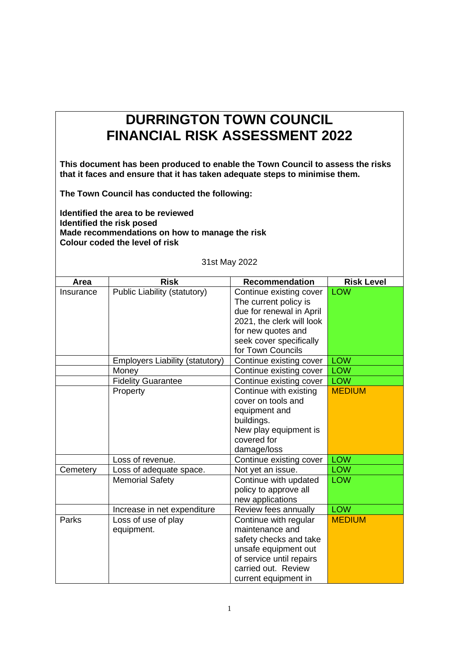## **DURRINGTON TOWN COUNCIL FINANCIAL RISK ASSESSMENT 2022**

**This document has been produced to enable the Town Council to assess the risks that it faces and ensure that it has taken adequate steps to minimise them.** 

**The Town Council has conducted the following:**

**Identified the area to be reviewed Identified the risk posed Made recommendations on how to manage the risk Colour coded the level of risk**

31st May 2022

| Area      | <b>Risk</b>                            | <b>Recommendation</b>                                                                                                                                                 | <b>Risk Level</b> |
|-----------|----------------------------------------|-----------------------------------------------------------------------------------------------------------------------------------------------------------------------|-------------------|
| Insurance | Public Liability (statutory)           | Continue existing cover<br>The current policy is<br>due for renewal in April<br>2021, the clerk will look                                                             | <b>LOW</b>        |
|           |                                        | for new quotes and<br>seek cover specifically<br>for Town Councils                                                                                                    |                   |
|           | <b>Employers Liability (statutory)</b> | Continue existing cover                                                                                                                                               | <b>LOW</b>        |
|           | Money                                  | Continue existing cover                                                                                                                                               | <b>LOW</b>        |
|           | <b>Fidelity Guarantee</b>              | Continue existing cover                                                                                                                                               | <b>LOW</b>        |
|           | Property                               | Continue with existing<br>cover on tools and<br>equipment and<br>buildings.<br>New play equipment is<br>covered for                                                   | <b>MEDIUM</b>     |
|           |                                        | damage/loss                                                                                                                                                           |                   |
|           | Loss of revenue.                       | Continue existing cover                                                                                                                                               | <b>LOW</b>        |
| Cemetery  | Loss of adequate space.                | Not yet an issue.                                                                                                                                                     | <b>LOW</b>        |
|           | <b>Memorial Safety</b>                 | Continue with updated<br>policy to approve all<br>new applications                                                                                                    | <b>LOW</b>        |
|           | Increase in net expenditure            | Review fees annually                                                                                                                                                  | <b>LOW</b>        |
| Parks     | Loss of use of play<br>equipment.      | Continue with regular<br>maintenance and<br>safety checks and take<br>unsafe equipment out<br>of service until repairs<br>carried out. Review<br>current equipment in | <b>MEDIUM</b>     |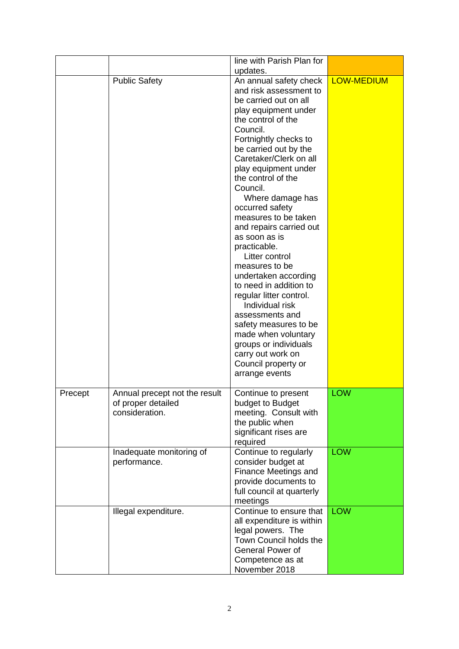|         |                                                                       | line with Parish Plan for                                                                                                                                                                                                                                                                                                                                                                                                                                                                                                                                                                                                                                                                          |                   |
|---------|-----------------------------------------------------------------------|----------------------------------------------------------------------------------------------------------------------------------------------------------------------------------------------------------------------------------------------------------------------------------------------------------------------------------------------------------------------------------------------------------------------------------------------------------------------------------------------------------------------------------------------------------------------------------------------------------------------------------------------------------------------------------------------------|-------------------|
|         |                                                                       | updates.                                                                                                                                                                                                                                                                                                                                                                                                                                                                                                                                                                                                                                                                                           |                   |
|         | <b>Public Safety</b>                                                  | An annual safety check<br>and risk assessment to<br>be carried out on all<br>play equipment under<br>the control of the<br>Council.<br>Fortnightly checks to<br>be carried out by the<br>Caretaker/Clerk on all<br>play equipment under<br>the control of the<br>Council.<br>Where damage has<br>occurred safety<br>measures to be taken<br>and repairs carried out<br>as soon as is<br>practicable.<br>Litter control<br>measures to be<br>undertaken according<br>to need in addition to<br>regular litter control.<br>Individual risk<br>assessments and<br>safety measures to be<br>made when voluntary<br>groups or individuals<br>carry out work on<br>Council property or<br>arrange events | <b>LOW-MEDIUM</b> |
| Precept | Annual precept not the result<br>of proper detailed<br>consideration. | Continue to present<br>budget to Budget<br>meeting. Consult with<br>the public when<br>significant rises are<br>required                                                                                                                                                                                                                                                                                                                                                                                                                                                                                                                                                                           | <b>LOW</b>        |
|         | Inadequate monitoring of<br>performance.                              | Continue to regularly<br>consider budget at<br>Finance Meetings and<br>provide documents to<br>full council at quarterly<br>meetings                                                                                                                                                                                                                                                                                                                                                                                                                                                                                                                                                               | <b>LOW</b>        |
|         | Illegal expenditure.                                                  | Continue to ensure that<br>all expenditure is within<br>legal powers. The<br>Town Council holds the<br><b>General Power of</b><br>Competence as at<br>November 2018                                                                                                                                                                                                                                                                                                                                                                                                                                                                                                                                | <b>LOW</b>        |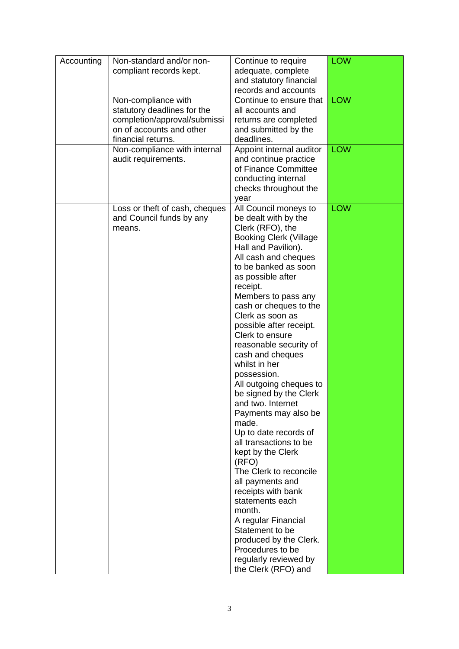| Accounting | Non-standard and/or non-                            | Continue to require                               | <b>LOW</b> |
|------------|-----------------------------------------------------|---------------------------------------------------|------------|
|            | compliant records kept.                             | adequate, complete                                |            |
|            |                                                     | and statutory financial                           |            |
|            |                                                     | records and accounts                              |            |
|            | Non-compliance with                                 | Continue to ensure that                           | <b>LOW</b> |
|            | statutory deadlines for the                         | all accounts and                                  |            |
|            | completion/approval/submissi                        | returns are completed                             |            |
|            | on of accounts and other                            | and submitted by the                              |            |
|            | financial returns.                                  | deadlines.                                        | <b>LOW</b> |
|            | Non-compliance with internal<br>audit requirements. | Appoint internal auditor<br>and continue practice |            |
|            |                                                     | of Finance Committee                              |            |
|            |                                                     | conducting internal                               |            |
|            |                                                     | checks throughout the                             |            |
|            |                                                     | year                                              |            |
|            | Loss or theft of cash, cheques                      | All Council moneys to                             | <b>LOW</b> |
|            | and Council funds by any                            | be dealt with by the                              |            |
|            | means.                                              | Clerk (RFO), the                                  |            |
|            |                                                     | <b>Booking Clerk (Village</b>                     |            |
|            |                                                     | Hall and Pavilion).                               |            |
|            |                                                     | All cash and cheques                              |            |
|            |                                                     | to be banked as soon                              |            |
|            |                                                     | as possible after                                 |            |
|            |                                                     | receipt.                                          |            |
|            |                                                     | Members to pass any<br>cash or cheques to the     |            |
|            |                                                     | Clerk as soon as                                  |            |
|            |                                                     | possible after receipt.                           |            |
|            |                                                     | Clerk to ensure                                   |            |
|            |                                                     | reasonable security of                            |            |
|            |                                                     | cash and cheques                                  |            |
|            |                                                     | whilst in her                                     |            |
|            |                                                     | possession.                                       |            |
|            |                                                     | All outgoing cheques to                           |            |
|            |                                                     | be signed by the Clerk                            |            |
|            |                                                     | and two. Internet                                 |            |
|            |                                                     | Payments may also be<br>made.                     |            |
|            |                                                     | Up to date records of                             |            |
|            |                                                     | all transactions to be                            |            |
|            |                                                     | kept by the Clerk                                 |            |
|            |                                                     | (RFO)                                             |            |
|            |                                                     | The Clerk to reconcile                            |            |
|            |                                                     | all payments and                                  |            |
|            |                                                     | receipts with bank                                |            |
|            |                                                     | statements each                                   |            |
|            |                                                     | month.                                            |            |
|            |                                                     | A regular Financial                               |            |
|            |                                                     | Statement to be<br>produced by the Clerk.         |            |
|            |                                                     | Procedures to be                                  |            |
|            |                                                     | regularly reviewed by                             |            |
|            |                                                     | the Clerk (RFO) and                               |            |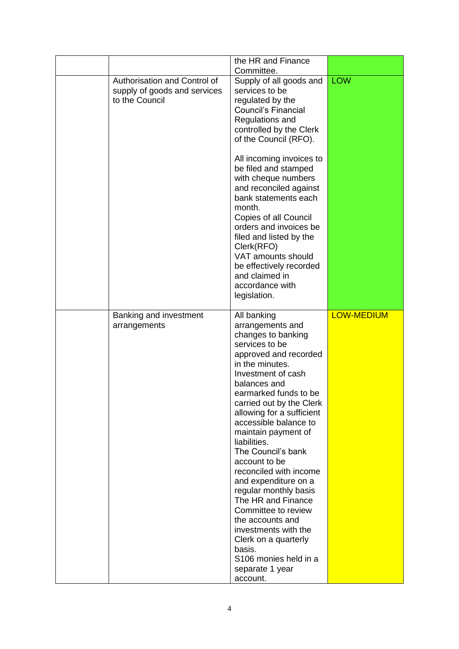|                                                                                | the HR and Finance                                                                                                                                                                                                                                                                                                                                                                                                                                                                                                                                                                                               |                   |
|--------------------------------------------------------------------------------|------------------------------------------------------------------------------------------------------------------------------------------------------------------------------------------------------------------------------------------------------------------------------------------------------------------------------------------------------------------------------------------------------------------------------------------------------------------------------------------------------------------------------------------------------------------------------------------------------------------|-------------------|
|                                                                                | Committee.                                                                                                                                                                                                                                                                                                                                                                                                                                                                                                                                                                                                       |                   |
| Authorisation and Control of<br>supply of goods and services<br>to the Council | Supply of all goods and<br>services to be<br>regulated by the<br><b>Council's Financial</b><br>Regulations and<br>controlled by the Clerk<br>of the Council (RFO).<br>All incoming invoices to                                                                                                                                                                                                                                                                                                                                                                                                                   | <b>LOW</b>        |
|                                                                                | be filed and stamped<br>with cheque numbers<br>and reconciled against<br>bank statements each<br>month.<br>Copies of all Council<br>orders and invoices be<br>filed and listed by the<br>Clerk(RFO)<br>VAT amounts should<br>be effectively recorded<br>and claimed in<br>accordance with<br>legislation.                                                                                                                                                                                                                                                                                                        |                   |
|                                                                                |                                                                                                                                                                                                                                                                                                                                                                                                                                                                                                                                                                                                                  |                   |
| Banking and investment<br>arrangements                                         | All banking<br>arrangements and<br>changes to banking<br>services to be<br>approved and recorded<br>in the minutes.<br>Investment of cash<br>balances and<br>earmarked funds to be<br>carried out by the Clerk<br>allowing for a sufficient<br>accessible balance to<br>maintain payment of<br>liabilities.<br>The Council's bank<br>account to be<br>reconciled with income<br>and expenditure on a<br>regular monthly basis<br>The HR and Finance<br>Committee to review<br>the accounts and<br>investments with the<br>Clerk on a quarterly<br>basis.<br>S106 monies held in a<br>separate 1 year<br>account. | <b>LOW-MEDIUM</b> |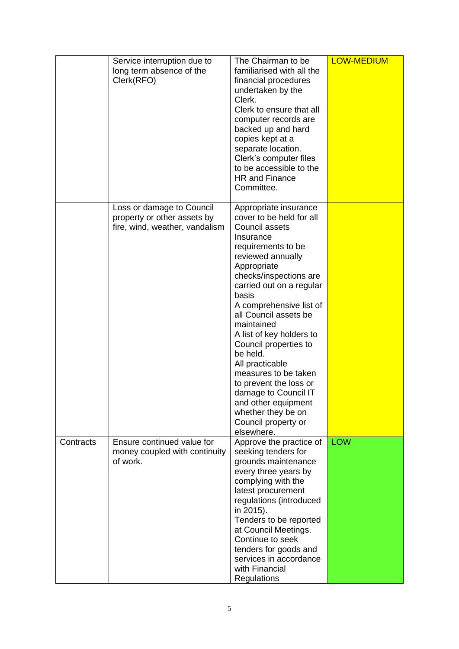|           | Service interruption due to<br>long term absence of the<br>Clerk(RFO)                      | The Chairman to be<br>familiarised with all the<br>financial procedures<br>undertaken by the<br>Clerk.<br>Clerk to ensure that all<br>computer records are<br>backed up and hard<br>copies kept at a<br>separate location.<br>Clerk's computer files<br>to be accessible to the<br><b>HR and Finance</b><br>Committee.                                                                                                                                                                                                      | <b>LOW-MEDIUM</b> |
|-----------|--------------------------------------------------------------------------------------------|-----------------------------------------------------------------------------------------------------------------------------------------------------------------------------------------------------------------------------------------------------------------------------------------------------------------------------------------------------------------------------------------------------------------------------------------------------------------------------------------------------------------------------|-------------------|
|           | Loss or damage to Council<br>property or other assets by<br>fire, wind, weather, vandalism | Appropriate insurance<br>cover to be held for all<br>Council assets<br>Insurance<br>requirements to be<br>reviewed annually<br>Appropriate<br>checks/inspections are<br>carried out on a regular<br>basis<br>A comprehensive list of<br>all Council assets be<br>maintained<br>A list of key holders to<br>Council properties to<br>be held.<br>All practicable<br>measures to be taken<br>to prevent the loss or<br>damage to Council IT<br>and other equipment<br>whether they be on<br>Council property or<br>elsewhere. |                   |
| Contracts | Ensure continued value for<br>money coupled with continuity<br>of work.                    | Approve the practice of<br>seeking tenders for<br>grounds maintenance<br>every three years by<br>complying with the<br>latest procurement<br>regulations (introduced<br>in 2015).<br>Tenders to be reported<br>at Council Meetings.<br>Continue to seek<br>tenders for goods and<br>services in accordance<br>with Financial<br>Regulations                                                                                                                                                                                 | <b>LOW</b>        |